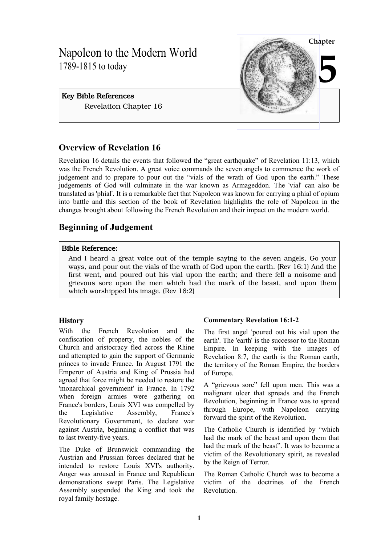# Napoleon to the Modern World 1789-1815 to today

# Key Bible References Revelation Chapter 16



# **Overview of Revelation 16**

Revelation 16 details the events that followed the "great earthquake" of Revelation 11:13, which was the French Revolution. A great voice commands the seven angels to commence the work of judgement and to prepare to pour out the "vials of the wrath of God upon the earth." These judgements of God will culminate in the war known as Armageddon. The 'vial' can also be translated as 'phial'. It is a remarkable fact that Napoleon was known for carrying a phial of opium into battle and this section of the book of Revelation highlights the role of Napoleon in the changes brought about following the French Revolution and their impact on the modern world.

# **Beginning of Judgement**

# Bible Reference:

And I heard a great voice out of the temple saying to the seven angels, Go your ways, and pour out the vials of the wrath of God upon the earth. (Rev 16:1) And the first went, and poured out his vial upon the earth; and there fell a noisome and grievous sore upon the men which had the mark of the beast, and upon them which worshipped his image. (Rev 16:2)

# **History**

With the French Revolution and the confiscation of property, the nobles of the Church and aristocracy fled across the Rhine and attempted to gain the support of Germanic princes to invade France. In August 1791 the Emperor of Austria and King of Prussia had agreed that force might be needed to restore the 'monarchical government' in France. In 1792 when foreign armies were gathering on France's borders, Louis XVI was compelled by the Legislative Assembly, France's Revolutionary Government, to declare war against Austria, beginning a conflict that was to last twenty-five years.

The Duke of Brunswick commanding the Austrian and Prussian forces declared that he intended to restore Louis XVI's authority. Anger was aroused in France and Republican demonstrations swept Paris. The Legislative Assembly suspended the King and took the royal family hostage.

# **Commentary Revelation 16:1-2**

The first angel 'poured out his vial upon the earth'. The 'earth' is the successor to the Roman Empire. In keeping with the images of Revelation 8:7, the earth is the Roman earth, the territory of the Roman Empire, the borders of Europe.

A "grievous sore" fell upon men. This was a malignant ulcer that spreads and the French Revolution, beginning in France was to spread through Europe, with Napoleon carrying forward the spirit of the Revolution.

The Catholic Church is identified by "which had the mark of the beast and upon them that had the mark of the beast". It was to become a victim of the Revolutionary spirit, as revealed by the Reign of Terror.

The Roman Catholic Church was to become a victim of the doctrines of the French Revolution.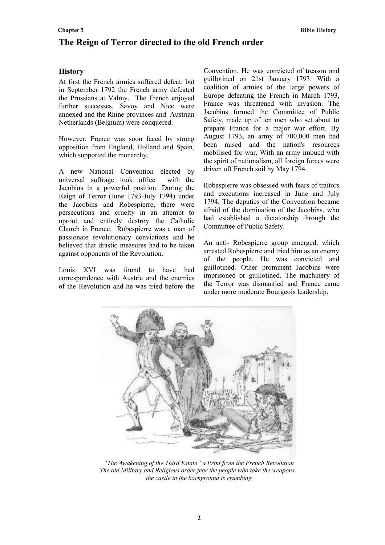# **The Reign of Terror directed to the old French order**

## **History**

At first the French armies suffered defeat, but in September 1792 the French army defeated the Prussians at Valmy. The French enjoyed further successes. Savoy and Nice were annexed and the Rhine provinces and Austrian Netherlands (Belgium) were conquered.

However, France was soon faced by strong opposition from England, Holland and Spain, which supported the monarchy.

A new National Convention elected by universal suffrage took office with the Jacobins in a powerful position. During the Reign of Terror (June 1793-July 1794) under the Jacobins and Robespierre, there were persecutions and cruelty in an attempt to uproot and entirely destroy the Catholic Church in France. Robespierre was a man of passionate revolutionary convictions and he believed that drastic measures had to be taken against opponents of the Revolution.

Louis XVI was found to have had correspondence with Austria and the enemies of the Revolution and he was tried before the Convention. He was convicted of treason and guillotined on 21st January 1793. With a coalition of armies of the large powers of Europe defeating the French in March 1793, France was threatened with invasion. The Jacobins formed the Committee of Public Safety, made up of ten men who set about to prepare France for a major war effort. By August 1793, an army of 700,000 men had been raised and the nation's resources mobilised for war. With an army imbued with the spirit of nationalism, all foreign forces were driven off French soil by May 1794.

Robespierre was obsessed with fears of traitors and executions increased in June and July 1794. The deputies of the Convention became afraid of the domination of the Jacobins, who had established a dictatorship through the Committee of Public Safety.

An anti- Robespierre group emerged, which arrested Robespierre and tried him as an enemy of the people. He was convicted and guillotined. Other prominent Jacobins were imprisoned or guillotined. The machinery of the Terror was dismantled and France came under more moderate Bourgeois leadership.



*"The Awakening of the Third Estate" a Print from the French Revolution The old Military and Religious order fear the people who take the weapons, the castle in the background is crumbing*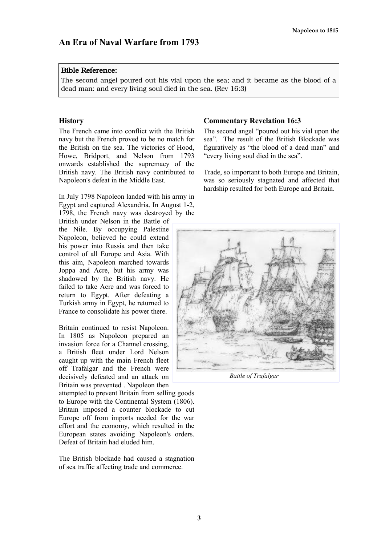#### Bible Reference:

The second angel poured out his vial upon the sea; and it became as the blood of a dead man: and every living soul died in the sea. (Rev 16:3)

#### **History**

The French came into conflict with the British navy but the French proved to be no match for the British on the sea. The victories of Hood, Howe, Bridport, and Nelson from 1793 onwards established the supremacy of the British navy. The British navy contributed to Napoleon's defeat in the Middle East.

In July 1798 Napoleon landed with his army in Egypt and captured Alexandria. In August 1-2, 1798, the French navy was destroyed by the

British under Nelson in the Battle of the Nile. By occupying Palestine Napoleon, believed he could extend his power into Russia and then take control of all Europe and Asia. With this aim, Napoleon marched towards Joppa and Acre, but his army was shadowed by the British navy. He failed to take Acre and was forced to return to Egypt. After defeating a Turkish army in Egypt, he returned to France to consolidate his power there.

Britain continued to resist Napoleon. In 1805 as Napoleon prepared an invasion force for a Channel crossing, a British fleet under Lord Nelson caught up with the main French fleet off Trafalgar and the French were decisively defeated and an attack on Britain was prevented . Napoleon then

attempted to prevent Britain from selling goods to Europe with the Continental System (1806). Britain imposed a counter blockade to cut Europe off from imports needed for the war effort and the economy, which resulted in the European states avoiding Napoleon's orders. Defeat of Britain had eluded him.

The British blockade had caused a stagnation of sea traffic affecting trade and commerce.

#### **Commentary Revelation 16:3**

The second angel "poured out his vial upon the sea". The result of the British Blockade was figuratively as "the blood of a dead man" and "every living soul died in the sea".

Trade, so important to both Europe and Britain, was so seriously stagnated and affected that hardship resulted for both Europe and Britain.



*Battle of Trafalgar*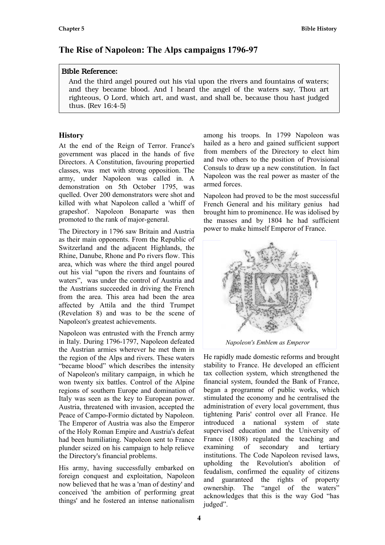# **The Rise of Napoleon: The Alps campaigns 1796-97**

## Bible Reference:

And the third angel poured out his vial upon the rivers and fountains of waters; and they became blood. And I heard the angel of the waters say, Thou art righteous, O Lord, which art, and wast, and shall be, because thou hast judged thus. (Rev 16:4-5)

## **History**

At the end of the Reign of Terror. France's government was placed in the hands of five Directors. A Constitution, favouring propertied classes, was met with strong opposition. The army, under Napoleon was called in. A demonstration on 5th October 1795, was quelled. Over 200 demonstrators were shot and killed with what Napoleon called a 'whiff of grapeshot'. Napoleon Bonaparte was then promoted to the rank of major-general.

The Directory in 1796 saw Britain and Austria as their main opponents. From the Republic of Switzerland and the adjacent Highlands, the Rhine, Danube, Rhone and Po rivers flow. This area, which was where the third angel poured out his vial "upon the rivers and fountains of waters", was under the control of Austria and the Austrians succeeded in driving the French from the area. This area had been the area affected by Attila and the third Trumpet (Revelation 8) and was to be the scene of Napoleon's greatest achievements.

Napoleon was entrusted with the French army in Italy. During 1796-1797, Napoleon defeated the Austrian armies wherever he met them in the region of the Alps and rivers. These waters "became blood" which describes the intensity of Napoleon's military campaign, in which he won twenty six battles. Control of the Alpine regions of southern Europe and domination of Italy was seen as the key to European power. Austria, threatened with invasion, accepted the Peace of Campo-Formio dictated by Napoleon. The Emperor of Austria was also the Emperor of the Holy Roman Empire and Austria's defeat had been humiliating. Napoleon sent to France plunder seized on his campaign to help relieve the Directory's financial problems.

His army, having successfully embarked on foreign conquest and exploitation, Napoleon now believed that he was a 'man of destiny' and conceived 'the ambition of performing great things' and he fostered an intense nationalism among his troops. In 1799 Napoleon was hailed as a hero and gained sufficient support from members of the Directory to elect him and two others to the position of Provisional Consuls to draw up a new constitution. In fact Napoleon was the real power as master of the armed forces.

Napoleon had proved to be the most successful French General and his military genius had brought him to prominence. He was idolised by the masses and by 1804 he had sufficient power to make himself Emperor of France.



*Napoleon's Emblem as Emperor* 

He rapidly made domestic reforms and brought stability to France. He developed an efficient tax collection system, which strengthened the financial system, founded the Bank of France, began a programme of public works, which stimulated the economy and he centralised the administration of every local government, thus tightening Paris' control over all France. He introduced a national system of state supervised education and the University of France (1808) regulated the teaching and examining of secondary and tertiary institutions. The Code Napoleon revised laws, upholding the Revolution's abolition of feudalism, confirmed the equality of citizens and guaranteed the rights of property ownership. The "angel of the waters" acknowledges that this is the way God "has judged".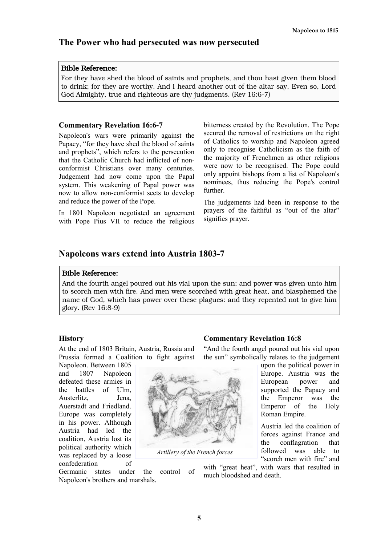# **The Power who had persecuted was now persecuted**

## Bible Reference:

For they have shed the blood of saints and prophets, and thou hast given them blood to drink; for they are worthy. And I heard another out of the altar say, Even so, Lord God Almighty, true and righteous are thy judgments. (Rev 16:6-7)

## **Commentary Revelation 16:6-7**

Napoleon's wars were primarily against the Papacy, "for they have shed the blood of saints and prophets", which refers to the persecution that the Catholic Church had inflicted of nonconformist Christians over many centuries. Judgement had now come upon the Papal system. This weakening of Papal power was now to allow non-conformist sects to develop and reduce the power of the Pope.

In 1801 Napoleon negotiated an agreement with Pope Pius VII to reduce the religious bitterness created by the Revolution. The Pope secured the removal of restrictions on the right of Catholics to worship and Napoleon agreed only to recognise Catholicism as the faith of the majority of Frenchmen as other religions were now to be recognised. The Pope could only appoint bishops from a list of Napoleon's nominees, thus reducing the Pope's control further.

The judgements had been in response to the prayers of the faithful as "out of the altar" signifies prayer.

# **Napoleons wars extend into Austria 1803-7**

## Bible Reference:

And the fourth angel poured out his vial upon the sun; and power was given unto him to scorch men with fire. And men were scorched with great heat, and blasphemed the name of God, which has power over these plagues: and they repented not to give him glory. (Rev 16:8-9)

## **History**

At the end of 1803 Britain, Austria, Russia and Prussia formed a Coalition to fight against

Napoleon. Between 1805 and 1807 Napoleon defeated these armies in the battles of Ulm, Austerlitz, Jena, Auerstadt and Friedland. Europe was completely in his power. Although Austria had led the coalition, Austria lost its political authority which was replaced by a loose confederation of

*Artillery of the French forces*

# **Commentary Revelation 16:8**

"And the fourth angel poured out his vial upon the sun" symbolically relates to the judgement

upon the political power in Europe. Austria was the European power and supported the Papacy and the Emperor was the Emperor of the Holy Roman Empire.

Austria led the coalition of forces against France and the conflagration that followed was able to "scorch men with fire" and

with "great heat", with wars that resulted in much bloodshed and death

Germanic states under the control of Napoleon's brothers and marshals.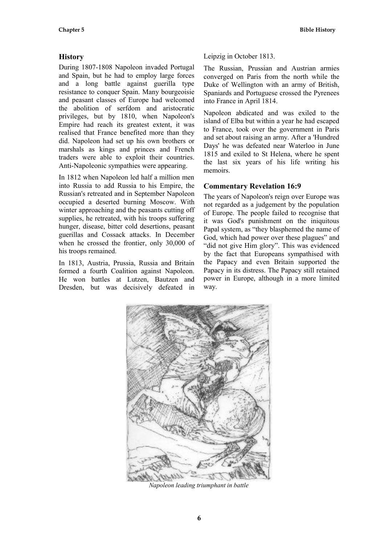## **History**

During 1807-1808 Napoleon invaded Portugal and Spain, but he had to employ large forces and a long battle against guerilla type resistance to conquer Spain. Many bourgeoisie and peasant classes of Europe had welcomed the abolition of serfdom and aristocratic privileges, but by 1810, when Napoleon's Empire had reach its greatest extent, it was realised that France benefited more than they did. Napoleon had set up his own brothers or marshals as kings and princes and French traders were able to exploit their countries. Anti-Napoleonic sympathies were appearing.

In 1812 when Napoleon led half a million men into Russia to add Russia to his Empire, the Russian's retreated and in September Napoleon occupied a deserted burning Moscow. With winter approaching and the peasants cutting off supplies, he retreated, with his troops suffering hunger, disease, bitter cold desertions, peasant guerillas and Cossack attacks. In December when he crossed the frontier, only 30,000 of his troops remained.

In 1813, Austria, Prussia, Russia and Britain formed a fourth Coalition against Napoleon. He won battles at Lutzen, Bautzen and Dresden, but was decisively defeated in Leipzig in October 1813.

The Russian, Prussian and Austrian armies converged on Paris from the north while the Duke of Wellington with an army of British, Spaniards and Portuguese crossed the Pyrenees into France in April 1814.

Napoleon abdicated and was exiled to the island of Elba but within a year he had escaped to France, took over the government in Paris and set about raising an army. After a 'Hundred Days' he was defeated near Waterloo in June 1815 and exiled to St Helena, where he spent the last six years of his life writing his memoirs.

## **Commentary Revelation 16:9**

The years of Napoleon's reign over Europe was not regarded as a judgement by the population of Europe. The people failed to recognise that it was God's punishment on the iniquitous Papal system, as "they blasphemed the name of God, which had power over these plagues" and "did not give Him glory". This was evidenced by the fact that Europeans sympathised with the Papacy and even Britain supported the Papacy in its distress. The Papacy still retained power in Europe, although in a more limited way.



*Napoleon leading triumphant in battle*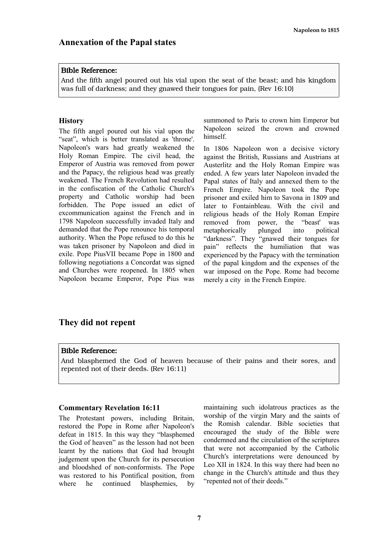#### Bible Reference:

And the fifth angel poured out his vial upon the seat of the beast; and his kingdom was full of darkness; and they gnawed their tongues for pain, (Rev 16:10)

#### **History**

The fifth angel poured out his vial upon the "seat", which is better translated as 'throne'. Napoleon's wars had greatly weakened the Holy Roman Empire. The civil head, the Emperor of Austria was removed from power and the Papacy, the religious head was greatly weakened. The French Revolution had resulted in the confiscation of the Catholic Church's property and Catholic worship had been forbidden. The Pope issued an edict of excommunication against the French and in 1798 Napoleon successfully invaded Italy and demanded that the Pope renounce his temporal authority. When the Pope refused to do this he was taken prisoner by Napoleon and died in exile. Pope PiusVII became Pope in 1800 and following negotiations a Concordat was signed and Churches were reopened. In 1805 when Napoleon became Emperor, Pope Pius was summoned to Paris to crown him Emperor but Napoleon seized the crown and crowned himself.

In 1806 Napoleon won a decisive victory against the British, Russians and Austrians at Austerlitz and the Holy Roman Empire was ended. A few years later Napoleon invaded the Papal states of Italy and annexed them to the French Empire. Napoleon took the Pope prisoner and exiled him to Savona in 1809 and later to Fontainbleau. With the civil and religious heads of the Holy Roman Empire removed from power, the "beast' was metaphorically plunged into political "darkness". They "gnawed their tongues for pain" reflects the humiliation that was experienced by the Papacy with the termination of the papal kingdom and the expenses of the war imposed on the Pope. Rome had become merely a city in the French Empire.

## **They did not repent**

#### Bible Reference:

And blasphemed the God of heaven because of their pains and their sores, and repented not of their deeds. (Rev 16:11)

#### **Commentary Revelation 16:11**

The Protestant powers, including Britain, restored the Pope in Rome after Napoleon's defeat in 1815. In this way they "blasphemed the God of heaven" as the lesson had not been learnt by the nations that God had brought judgement upon the Church for its persecution and bloodshed of non-conformists. The Pope was restored to his Pontifical position, from where he continued blasphemies, by maintaining such idolatrous practices as the worship of the virgin Mary and the saints of the Romish calendar. Bible societies that encouraged the study of the Bible were condemned and the circulation of the scriptures that were not accompanied by the Catholic Church's interpretations were denounced by Leo XII in 1824. In this way there had been no change in the Church's attitude and thus they "repented not of their deeds."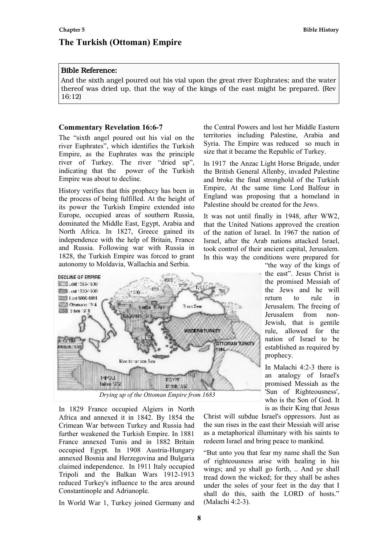# **The Turkish (Ottoman) Empire**

#### Bible Reference:

And the sixth angel poured out his vial upon the great river Euphrates; and the water thereof was dried up, that the way of the kings of the east might be prepared. (Rev 16:12)

#### **Commentary Revelation 16:6-7**

The "sixth angel poured out his vial on the river Euphrates", which identifies the Turkish Empire, as the Euphrates was the principle river of Turkey. The river "dried up", indicating that the power of the Turkish Empire was about to decline.

History verifies that this prophecy has been in the process of being fulfilled. At the height of its power the Turkish Empire extended into Europe, occupied areas of southern Russia, dominated the Middle East, Egypt, Arabia and North Africa. In 1827, Greece gained its independence with the help of Britain, France and Russia. Following war with Russia in 1828, the Turkish Empire was forced to grant autonomy to Moldavia, Wallachia and Serbia.



In 1829 France occupied Algiers in North Africa and annexed it in 1842. By 1854 the Crimean War between Turkey and Russia had further weakened the Turkish Empire. In 1881 France annexed Tunis and in 1882 Britain occupied Egypt. In 1908 Austria-Hungary annexed Bosnia and Herzegovina and Bulgaria claimed independence. In 1911 Italy occupied Tripoli and the Balkan Wars 1912-1913 reduced Turkey's influence to the area around Constantinople and Adrianople.

In World War 1, Turkey joined Germany and

the Central Powers and lost her Middle Eastern territories including Palestine, Arabia and Syria. The Empire was reduced so much in size that it became the Republic of Turkey.

In 1917 the Anzac Light Horse Brigade, under the British General Allenby, invaded Palestine and broke the final stronghold of the Turkish Empire, At the same time Lord Balfour in England was proposing that a homeland in Palestine should be created for the Jews.

It was not until finally in 1948, after WW2, that the United Nations approved the creation of the nation of Israel. In 1967 the nation of Israel, after the Arab nations attacked Israel, took control of their ancient capital, Jerusalem. In this way the conditions were prepared for

> "the way of the kings of the east". Jesus Christ is the promised Messiah of the Jews and he will return to rule in Jerusalem. The freeing of Jerusalem from non-Jewish, that is gentile rule, allowed for the nation of Israel to be established as required by prophecy.

> In Malachi 4:2-3 there is an analogy of Israel's promised Messiah as the 'Sun of Righteousness', who is the Son of God. It is as their King that Jesus

Christ will subdue Israel's oppressors. Just as the sun rises in the east their Messiah will arise as a metaphorical illuminary with his saints to redeem Israel and bring peace to mankind.

"But unto you that fear my name shall the Sun of righteousness arise with healing in his wings; and ye shall go forth, .. And ye shall tread down the wicked; for they shall be ashes under the soles of your feet in the day that I shall do this, saith the LORD of hosts." (Malachi 4:2-3).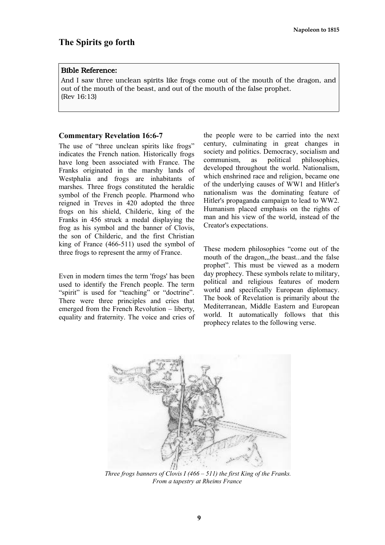#### Bible Reference:

And I saw three unclean spirits like frogs come out of the mouth of the dragon, and out of the mouth of the beast, and out of the mouth of the false prophet. (Rev 16:13)

#### **Commentary Revelation 16:6-7**

The use of "three unclean spirits like frogs" indicates the French nation. Historically frogs have long been associated with France. The Franks originated in the marshy lands of Westphalia and frogs are inhabitants of marshes. Three frogs constituted the heraldic symbol of the French people. Pharmond who reigned in Treves in 420 adopted the three frogs on his shield, Childeric, king of the Franks in 456 struck a medal displaying the frog as his symbol and the banner of Clovis, the son of Childeric, and the first Christian king of France (466-511) used the symbol of three frogs to represent the army of France.

Even in modern times the term 'frogs' has been used to identify the French people. The term "spirit" is used for "teaching" or "doctrine". There were three principles and cries that emerged from the French Revolution – liberty, equality and fraternity. The voice and cries of the people were to be carried into the next century, culminating in great changes in society and politics. Democracy, socialism and communism, as political philosophies, developed throughout the world. Nationalism, which enshrined race and religion, became one of the underlying causes of WW1 and Hitler's nationalism was the dominating feature of Hitler's propaganda campaign to lead to WW2. Humanism placed emphasis on the rights of man and his view of the world, instead of the Creator's expectations.

These modern philosophies "come out of the mouth of the dragon,,,the beast...and the false prophet". This must be viewed as a modern day prophecy. These symbols relate to military, political and religious features of modern world and specifically European diplomacy. The book of Revelation is primarily about the Mediterranean, Middle Eastern and European world. It automatically follows that this prophecy relates to the following verse.



*Three frogs banners of Clovis I (466 – 511) the first King of the Franks. From a tapestry at Rheims France*